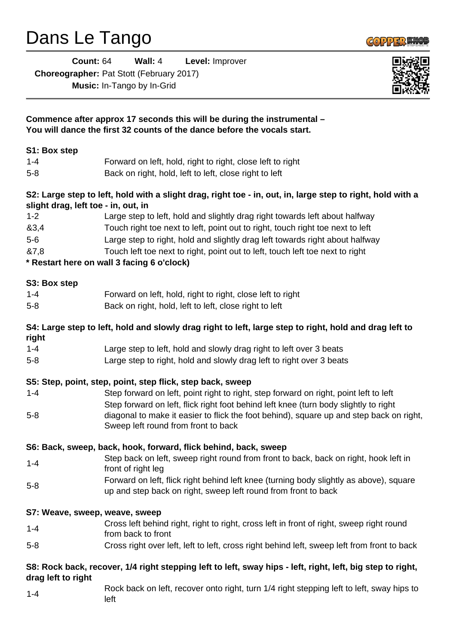## Dans Le Tango

**Count:** 64 **Wall:** 4 **Level:** Improver

**Choreographer:** Pat Stott (February 2017)

**Music:** In-Tango by In-Grid



| Commence after approx 17 seconds this will be during the instrumental -<br>You will dance the first 32 counts of the dance before the vocals start. |                                                                                                                                                                                                                                                                                                                                                                               |
|-----------------------------------------------------------------------------------------------------------------------------------------------------|-------------------------------------------------------------------------------------------------------------------------------------------------------------------------------------------------------------------------------------------------------------------------------------------------------------------------------------------------------------------------------|
| S1: Box step                                                                                                                                        |                                                                                                                                                                                                                                                                                                                                                                               |
| $1 - 4$                                                                                                                                             | Forward on left, hold, right to right, close left to right                                                                                                                                                                                                                                                                                                                    |
| $5 - 8$                                                                                                                                             | Back on right, hold, left to left, close right to left                                                                                                                                                                                                                                                                                                                        |
|                                                                                                                                                     | S2: Large step to left, hold with a slight drag, right toe - in, out, in, large step to right, hold with a<br>slight drag, left toe - in, out, in                                                                                                                                                                                                                             |
| $1 - 2$                                                                                                                                             | Large step to left, hold and slightly drag right towards left about halfway                                                                                                                                                                                                                                                                                                   |
| 83,4                                                                                                                                                | Touch right toe next to left, point out to right, touch right toe next to left                                                                                                                                                                                                                                                                                                |
| $5-6$                                                                                                                                               | Large step to right, hold and slightly drag left towards right about halfway                                                                                                                                                                                                                                                                                                  |
| 87,8                                                                                                                                                | Touch left toe next to right, point out to left, touch left toe next to right                                                                                                                                                                                                                                                                                                 |
|                                                                                                                                                     | * Restart here on wall 3 facing 6 o'clock)                                                                                                                                                                                                                                                                                                                                    |
| S3: Box step                                                                                                                                        |                                                                                                                                                                                                                                                                                                                                                                               |
| $1 - 4$                                                                                                                                             | Forward on left, hold, right to right, close left to right                                                                                                                                                                                                                                                                                                                    |
| $5 - 8$                                                                                                                                             | Back on right, hold, left to left, close right to left                                                                                                                                                                                                                                                                                                                        |
| right                                                                                                                                               | S4: Large step to left, hold and slowly drag right to left, large step to right, hold and drag left to                                                                                                                                                                                                                                                                        |
| $1 - 4$                                                                                                                                             | Large step to left, hold and slowly drag right to left over 3 beats                                                                                                                                                                                                                                                                                                           |
| $5 - 8$                                                                                                                                             | Large step to right, hold and slowly drag left to right over 3 beats                                                                                                                                                                                                                                                                                                          |
| $1 - 4$<br>$5 - 8$                                                                                                                                  | S5: Step, point, step, point, step flick, step back, sweep<br>Step forward on left, point right to right, step forward on right, point left to left<br>Step forward on left, flick right foot behind left knee (turn body slightly to right<br>diagonal to make it easier to flick the foot behind), square up and step back on right,<br>Sweep left round from front to back |
|                                                                                                                                                     | S6: Back, sweep, back, hook, forward, flick behind, back, sweep                                                                                                                                                                                                                                                                                                               |
| $1 - 4$                                                                                                                                             | Step back on left, sweep right round from front to back, back on right, hook left in<br>front of right leg                                                                                                                                                                                                                                                                    |
| $5 - 8$                                                                                                                                             | Forward on left, flick right behind left knee (turning body slightly as above), square<br>up and step back on right, sweep left round from front to back                                                                                                                                                                                                                      |
|                                                                                                                                                     | S7: Weave, sweep, weave, sweep                                                                                                                                                                                                                                                                                                                                                |
| $1 - 4$                                                                                                                                             | Cross left behind right, right to right, cross left in front of right, sweep right round<br>from back to front                                                                                                                                                                                                                                                                |
| $5 - 8$                                                                                                                                             | Cross right over left, left to left, cross right behind left, sweep left from front to back                                                                                                                                                                                                                                                                                   |
| drag left to right                                                                                                                                  | S8: Rock back, recover, 1/4 right stepping left to left, sway hips - left, right, left, big step to right,                                                                                                                                                                                                                                                                    |
| $1 - 4$                                                                                                                                             | Rock back on left, recover onto right, turn 1/4 right stepping left to left, sway hips to<br>left                                                                                                                                                                                                                                                                             |